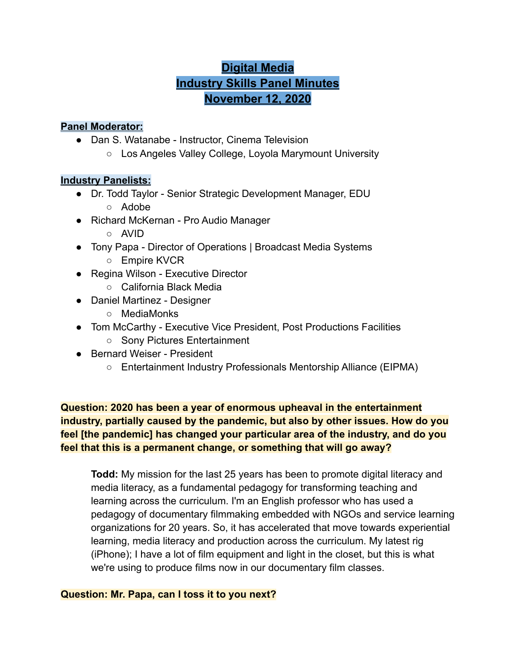# **Digital Media Industry Skills Panel Minutes November 12, 2020**

# **Panel Moderator:**

- Dan S. Watanabe Instructor, Cinema Television
	- Los Angeles Valley College, Loyola Marymount University

# **Industry Panelists:**

- Dr. Todd Taylor Senior Strategic Development Manager, EDU ○ Adobe
- Richard McKernan Pro Audio Manager
	- AVID
- Tony Papa Director of Operations | Broadcast Media Systems
	- Empire KVCR
- Regina Wilson Executive Director
	- California Black Media
- Daniel Martinez Designer
	- MediaMonks
- Tom McCarthy Executive Vice President, Post Productions Facilities
	- Sony Pictures Entertainment
- Bernard Weiser President
	- Entertainment Industry Professionals Mentorship Alliance (EIPMA)

**Question: 2020 has been a year of enormous upheaval in the entertainment industry, partially caused by the pandemic, but also by other issues. How do you feel [the pandemic] has changed your particular area of the industry, and do you feel that this is a permanent change, or something that will go away?**

**Todd:** My mission for the last 25 years has been to promote digital literacy and media literacy, as a fundamental pedagogy for transforming teaching and learning across the curriculum. I'm an English professor who has used a pedagogy of documentary filmmaking embedded with NGOs and service learning organizations for 20 years. So, it has accelerated that move towards experiential learning, media literacy and production across the curriculum. My latest rig (iPhone); I have a lot of film equipment and light in the closet, but this is what we're using to produce films now in our documentary film classes.

# **Question: Mr. Papa, can I toss it to you next?**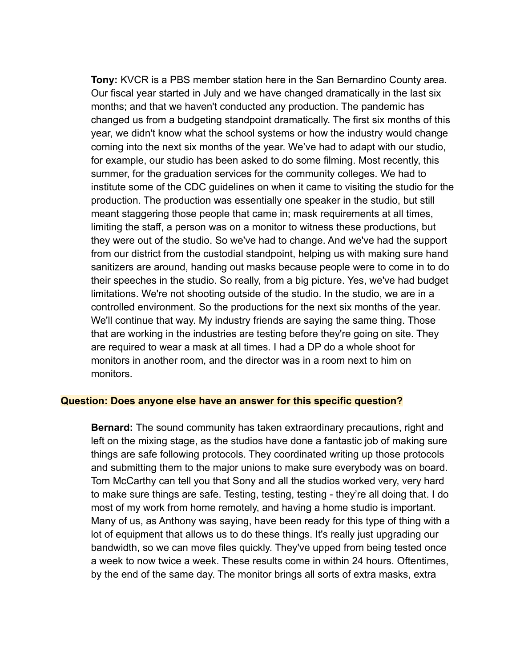**Tony:** KVCR is a PBS member station here in the San Bernardino County area. Our fiscal year started in July and we have changed dramatically in the last six months; and that we haven't conducted any production. The pandemic has changed us from a budgeting standpoint dramatically. The first six months of this year, we didn't know what the school systems or how the industry would change coming into the next six months of the year. We've had to adapt with our studio, for example, our studio has been asked to do some filming. Most recently, this summer, for the graduation services for the community colleges. We had to institute some of the CDC guidelines on when it came to visiting the studio for the production. The production was essentially one speaker in the studio, but still meant staggering those people that came in; mask requirements at all times, limiting the staff, a person was on a monitor to witness these productions, but they were out of the studio. So we've had to change. And we've had the support from our district from the custodial standpoint, helping us with making sure hand sanitizers are around, handing out masks because people were to come in to do their speeches in the studio. So really, from a big picture. Yes, we've had budget limitations. We're not shooting outside of the studio. In the studio, we are in a controlled environment. So the productions for the next six months of the year. We'll continue that way. My industry friends are saying the same thing. Those that are working in the industries are testing before they're going on site. They are required to wear a mask at all times. I had a DP do a whole shoot for monitors in another room, and the director was in a room next to him on monitors.

#### **Question: Does anyone else have an answer for this specific question?**

**Bernard:** The sound community has taken extraordinary precautions, right and left on the mixing stage, as the studios have done a fantastic job of making sure things are safe following protocols. They coordinated writing up those protocols and submitting them to the major unions to make sure everybody was on board. Tom McCarthy can tell you that Sony and all the studios worked very, very hard to make sure things are safe. Testing, testing, testing - they're all doing that. I do most of my work from home remotely, and having a home studio is important. Many of us, as Anthony was saying, have been ready for this type of thing with a lot of equipment that allows us to do these things. It's really just upgrading our bandwidth, so we can move files quickly. They've upped from being tested once a week to now twice a week. These results come in within 24 hours. Oftentimes, by the end of the same day. The monitor brings all sorts of extra masks, extra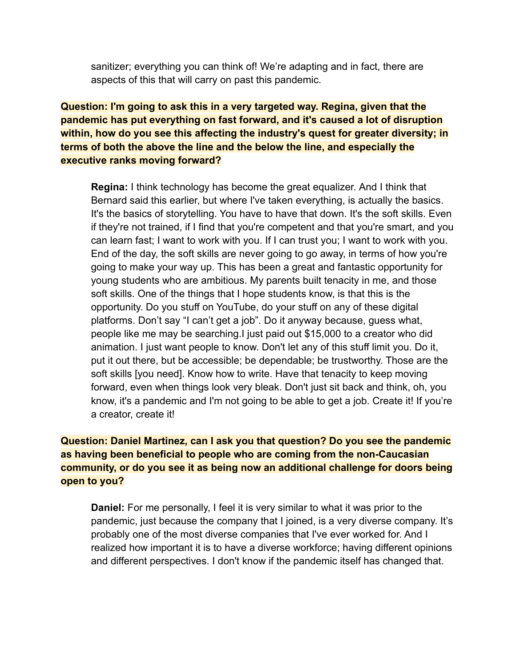sanitizer; everything you can think of! We're adapting and in fact, there are aspects of this that will carry on past this pandemic.

**Question: I'm going to ask this in a very targeted way. Regina, given that the pandemic has put everything on fast forward, and it's caused a lot of disruption within, how do you see this affecting the industry's quest for greater diversity; in terms of both the above the line and the below the line, and especially the executive ranks moving forward?**

**Regina:** I think technology has become the great equalizer. And I think that Bernard said this earlier, but where I've taken everything, is actually the basics. It's the basics of storytelling. You have to have that down. It's the soft skills. Even if they're not trained, if I find that you're competent and that you're smart, and you can learn fast; I want to work with you. If I can trust you; I want to work with you. End of the day, the soft skills are never going to go away, in terms of how you're going to make your way up. This has been a great and fantastic opportunity for young students who are ambitious. My parents built tenacity in me, and those soft skills. One of the things that I hope students know, is that this is the opportunity. Do you stuff on YouTube, do your stuff on any of these digital platforms. Don't say "I can't get a job". Do it anyway because, guess what, people like me may be searching.I just paid out \$15,000 to a creator who did animation. I just want people to know. Don't let any of this stuff limit you. Do it, put it out there, but be accessible; be dependable; be trustworthy. Those are the soft skills [you need]. Know how to write. Have that tenacity to keep moving forward, even when things look very bleak. Don't just sit back and think, oh, you know, it's a pandemic and I'm not going to be able to get a job. Create it! If you're a creator, create it!

# **Question: Daniel Martinez, can I ask you that question? Do you see the pandemic as having been beneficial to people who are coming from the non-Caucasian community, or do you see it as being now an additional challenge for doors being open to you?**

**Daniel:** For me personally, I feel it is very similar to what it was prior to the pandemic, just because the company that I joined, is a very diverse company. It's probably one of the most diverse companies that I've ever worked for. And I realized how important it is to have a diverse workforce; having different opinions and different perspectives. I don't know if the pandemic itself has changed that.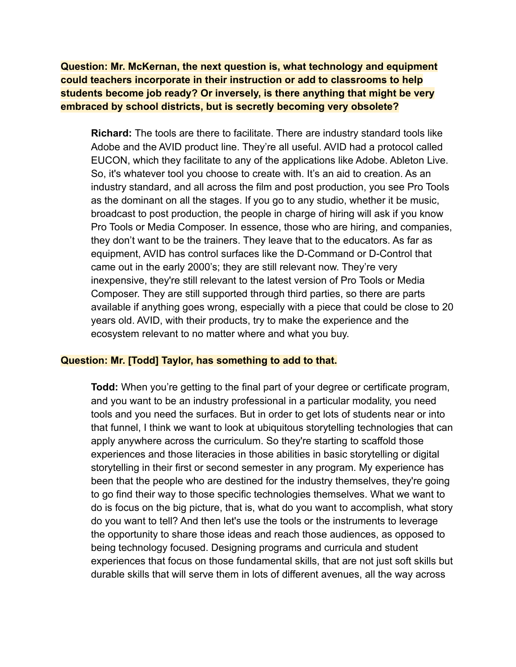**Question: Mr. McKernan, the next question is, what technology and equipment could teachers incorporate in their instruction or add to classrooms to help students become job ready? Or inversely, is there anything that might be very embraced by school districts, but is secretly becoming very obsolete?**

**Richard:** The tools are there to facilitate. There are industry standard tools like Adobe and the AVID product line. They're all useful. AVID had a protocol called EUCON, which they facilitate to any of the applications like Adobe. Ableton Live. So, it's whatever tool you choose to create with. It's an aid to creation. As an industry standard, and all across the film and post production, you see Pro Tools as the dominant on all the stages. If you go to any studio, whether it be music, broadcast to post production, the people in charge of hiring will ask if you know Pro Tools or Media Composer. In essence, those who are hiring, and companies, they don't want to be the trainers. They leave that to the educators. As far as equipment, AVID has control surfaces like the D-Command or D-Control that came out in the early 2000's; they are still relevant now. They're very inexpensive, they're still relevant to the latest version of Pro Tools or Media Composer. They are still supported through third parties, so there are parts available if anything goes wrong, especially with a piece that could be close to 20 years old. AVID, with their products, try to make the experience and the ecosystem relevant to no matter where and what you buy.

#### **Question: Mr. [Todd] Taylor, has something to add to that.**

**Todd:** When you're getting to the final part of your degree or certificate program, and you want to be an industry professional in a particular modality, you need tools and you need the surfaces. But in order to get lots of students near or into that funnel, I think we want to look at ubiquitous storytelling technologies that can apply anywhere across the curriculum. So they're starting to scaffold those experiences and those literacies in those abilities in basic storytelling or digital storytelling in their first or second semester in any program. My experience has been that the people who are destined for the industry themselves, they're going to go find their way to those specific technologies themselves. What we want to do is focus on the big picture, that is, what do you want to accomplish, what story do you want to tell? And then let's use the tools or the instruments to leverage the opportunity to share those ideas and reach those audiences, as opposed to being technology focused. Designing programs and curricula and student experiences that focus on those fundamental skills, that are not just soft skills but durable skills that will serve them in lots of different avenues, all the way across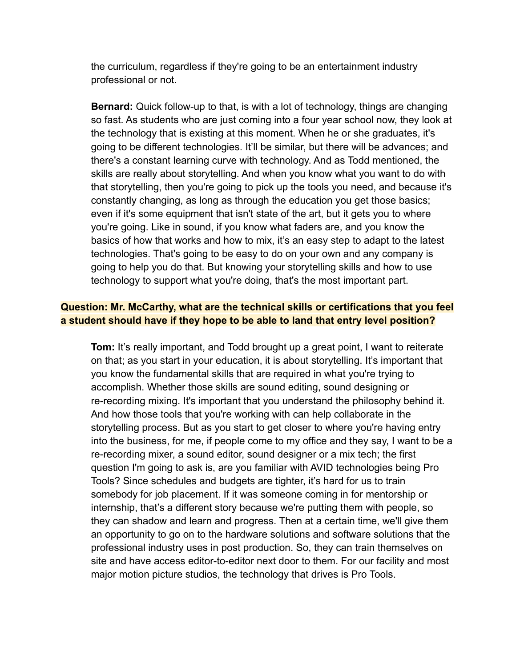the curriculum, regardless if they're going to be an entertainment industry professional or not.

**Bernard:** Quick follow-up to that, is with a lot of technology, things are changing so fast. As students who are just coming into a four year school now, they look at the technology that is existing at this moment. When he or she graduates, it's going to be different technologies. It'll be similar, but there will be advances; and there's a constant learning curve with technology. And as Todd mentioned, the skills are really about storytelling. And when you know what you want to do with that storytelling, then you're going to pick up the tools you need, and because it's constantly changing, as long as through the education you get those basics; even if it's some equipment that isn't state of the art, but it gets you to where you're going. Like in sound, if you know what faders are, and you know the basics of how that works and how to mix, it's an easy step to adapt to the latest technologies. That's going to be easy to do on your own and any company is going to help you do that. But knowing your storytelling skills and how to use technology to support what you're doing, that's the most important part.

# **Question: Mr. McCarthy, what are the technical skills or certifications that you feel a student should have if they hope to be able to land that entry level position?**

**Tom:** It's really important, and Todd brought up a great point, I want to reiterate on that; as you start in your education, it is about storytelling. It's important that you know the fundamental skills that are required in what you're trying to accomplish. Whether those skills are sound editing, sound designing or re-recording mixing. It's important that you understand the philosophy behind it. And how those tools that you're working with can help collaborate in the storytelling process. But as you start to get closer to where you're having entry into the business, for me, if people come to my office and they say, I want to be a re-recording mixer, a sound editor, sound designer or a mix tech; the first question I'm going to ask is, are you familiar with AVID technologies being Pro Tools? Since schedules and budgets are tighter, it's hard for us to train somebody for job placement. If it was someone coming in for mentorship or internship, that's a different story because we're putting them with people, so they can shadow and learn and progress. Then at a certain time, we'll give them an opportunity to go on to the hardware solutions and software solutions that the professional industry uses in post production. So, they can train themselves on site and have access editor-to-editor next door to them. For our facility and most major motion picture studios, the technology that drives is Pro Tools.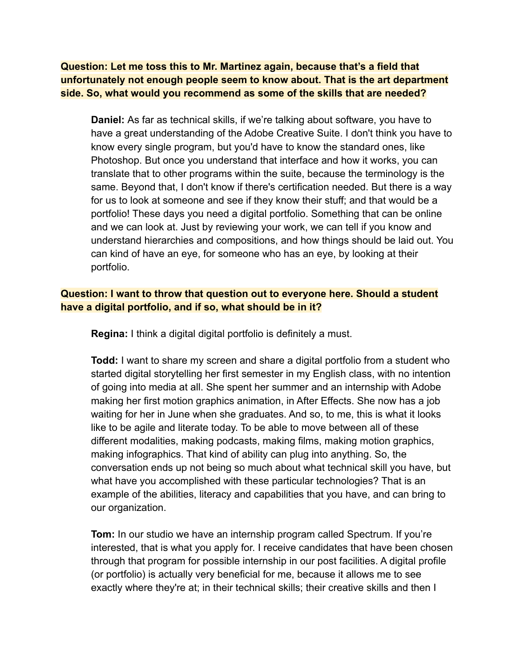**Question: Let me toss this to Mr. Martinez again, because that's a field that unfortunately not enough people seem to know about. That is the art department side. So, what would you recommend as some of the skills that are needed?**

**Daniel:** As far as technical skills, if we're talking about software, you have to have a great understanding of the Adobe Creative Suite. I don't think you have to know every single program, but you'd have to know the standard ones, like Photoshop. But once you understand that interface and how it works, you can translate that to other programs within the suite, because the terminology is the same. Beyond that, I don't know if there's certification needed. But there is a way for us to look at someone and see if they know their stuff; and that would be a portfolio! These days you need a digital portfolio. Something that can be online and we can look at. Just by reviewing your work, we can tell if you know and understand hierarchies and compositions, and how things should be laid out. You can kind of have an eye, for someone who has an eye, by looking at their portfolio.

# **Question: I want to throw that question out to everyone here. Should a student have a digital portfolio, and if so, what should be in it?**

**Regina:** I think a digital digital portfolio is definitely a must.

**Todd:** I want to share my screen and share a digital portfolio from a student who started digital storytelling her first semester in my English class, with no intention of going into media at all. She spent her summer and an internship with Adobe making her first motion graphics animation, in After Effects. She now has a job waiting for her in June when she graduates. And so, to me, this is what it looks like to be agile and literate today. To be able to move between all of these different modalities, making podcasts, making films, making motion graphics, making infographics. That kind of ability can plug into anything. So, the conversation ends up not being so much about what technical skill you have, but what have you accomplished with these particular technologies? That is an example of the abilities, literacy and capabilities that you have, and can bring to our organization.

**Tom:** In our studio we have an internship program called Spectrum. If you're interested, that is what you apply for. I receive candidates that have been chosen through that program for possible internship in our post facilities. A digital profile (or portfolio) is actually very beneficial for me, because it allows me to see exactly where they're at; in their technical skills; their creative skills and then I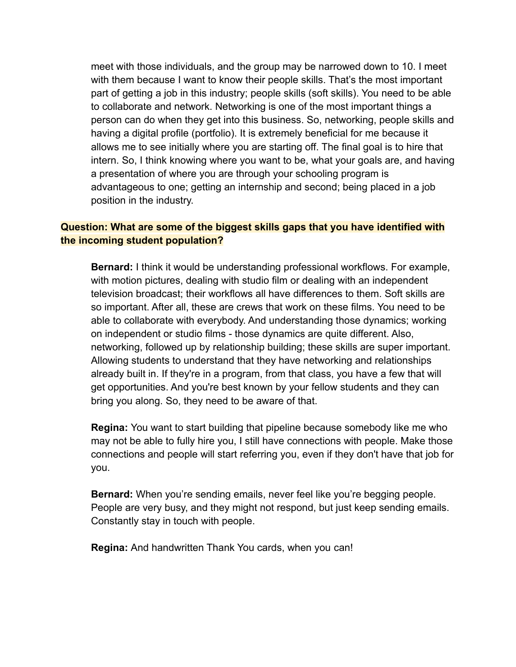meet with those individuals, and the group may be narrowed down to 10. I meet with them because I want to know their people skills. That's the most important part of getting a job in this industry; people skills (soft skills). You need to be able to collaborate and network. Networking is one of the most important things a person can do when they get into this business. So, networking, people skills and having a digital profile (portfolio). It is extremely beneficial for me because it allows me to see initially where you are starting off. The final goal is to hire that intern. So, I think knowing where you want to be, what your goals are, and having a presentation of where you are through your schooling program is advantageous to one; getting an internship and second; being placed in a job position in the industry.

# **Question: What are some of the biggest skills gaps that you have identified with the incoming student population?**

**Bernard:** I think it would be understanding professional workflows. For example, with motion pictures, dealing with studio film or dealing with an independent television broadcast; their workflows all have differences to them. Soft skills are so important. After all, these are crews that work on these films. You need to be able to collaborate with everybody. And understanding those dynamics; working on independent or studio films - those dynamics are quite different. Also, networking, followed up by relationship building; these skills are super important. Allowing students to understand that they have networking and relationships already built in. If they're in a program, from that class, you have a few that will get opportunities. And you're best known by your fellow students and they can bring you along. So, they need to be aware of that.

**Regina:** You want to start building that pipeline because somebody like me who may not be able to fully hire you, I still have connections with people. Make those connections and people will start referring you, even if they don't have that job for you.

**Bernard:** When you're sending emails, never feel like you're begging people. People are very busy, and they might not respond, but just keep sending emails. Constantly stay in touch with people.

**Regina:** And handwritten Thank You cards, when you can!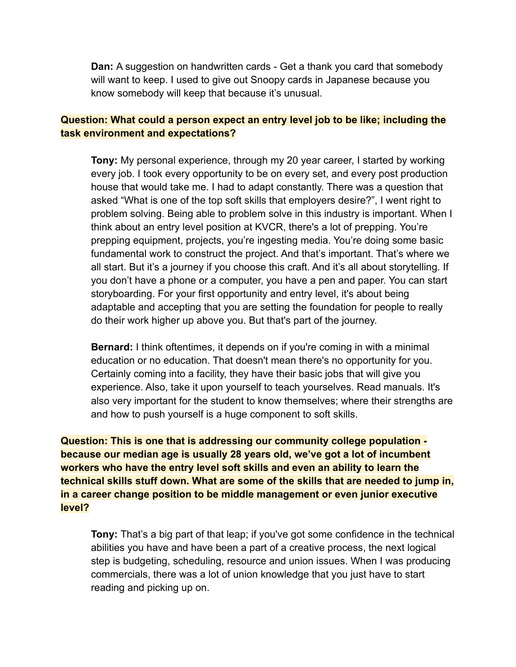**Dan:** A suggestion on handwritten cards - Get a thank you card that somebody will want to keep. I used to give out Snoopy cards in Japanese because you know somebody will keep that because it's unusual.

# **Question: What could a person expect an entry level job to be like; including the task environment and expectations?**

**Tony:** My personal experience, through my 20 year career, I started by working every job. I took every opportunity to be on every set, and every post production house that would take me. I had to adapt constantly. There was a question that asked "What is one of the top soft skills that employers desire?", I went right to problem solving. Being able to problem solve in this industry is important. When I think about an entry level position at KVCR, there's a lot of prepping. You're prepping equipment, projects, you're ingesting media. You're doing some basic fundamental work to construct the project. And that's important. That's where we all start. But it's a journey if you choose this craft. And it's all about storytelling. If you don't have a phone or a computer, you have a pen and paper. You can start storyboarding. For your first opportunity and entry level, it's about being adaptable and accepting that you are setting the foundation for people to really do their work higher up above you. But that's part of the journey.

**Bernard:** I think oftentimes, it depends on if you're coming in with a minimal education or no education. That doesn't mean there's no opportunity for you. Certainly coming into a facility, they have their basic jobs that will give you experience. Also, take it upon yourself to teach yourselves. Read manuals. It's also very important for the student to know themselves; where their strengths are and how to push yourself is a huge component to soft skills.

**Question: This is one that is addressing our community college population because our median age is usually 28 years old, we've got a lot of incumbent workers who have the entry level soft skills and even an ability to learn the technical skills stuff down. What are some of the skills that are needed to jump in, in a career change position to be middle management or even junior executive level?**

**Tony:** That's a big part of that leap; if you've got some confidence in the technical abilities you have and have been a part of a creative process, the next logical step is budgeting, scheduling, resource and union issues. When I was producing commercials, there was a lot of union knowledge that you just have to start reading and picking up on.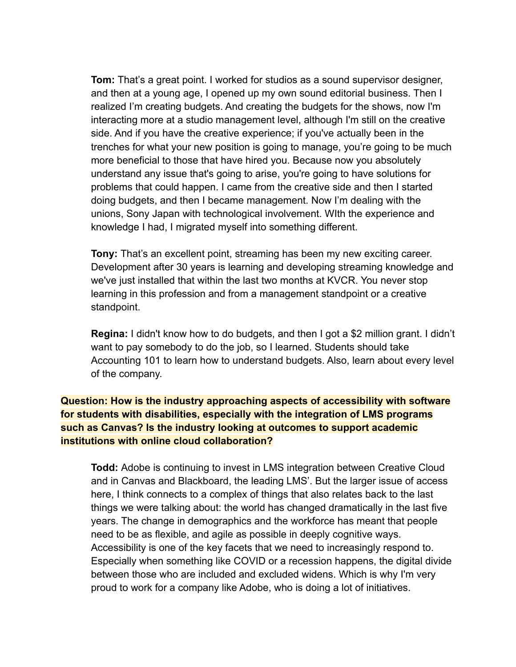**Tom:** That's a great point. I worked for studios as a sound supervisor designer, and then at a young age, I opened up my own sound editorial business. Then I realized I'm creating budgets. And creating the budgets for the shows, now I'm interacting more at a studio management level, although I'm still on the creative side. And if you have the creative experience; if you've actually been in the trenches for what your new position is going to manage, you're going to be much more beneficial to those that have hired you. Because now you absolutely understand any issue that's going to arise, you're going to have solutions for problems that could happen. I came from the creative side and then I started doing budgets, and then I became management. Now I'm dealing with the unions, Sony Japan with technological involvement. WIth the experience and knowledge I had, I migrated myself into something different.

**Tony:** That's an excellent point, streaming has been my new exciting career. Development after 30 years is learning and developing streaming knowledge and we've just installed that within the last two months at KVCR. You never stop learning in this profession and from a management standpoint or a creative standpoint.

**Regina:** I didn't know how to do budgets, and then I got a \$2 million grant. I didn't want to pay somebody to do the job, so I learned. Students should take Accounting 101 to learn how to understand budgets. Also, learn about every level of the company.

# **Question: How is the industry approaching aspects of accessibility with software for students with disabilities, especially with the integration of LMS programs such as Canvas? Is the industry looking at outcomes to support academic institutions with online cloud collaboration?**

**Todd:** Adobe is continuing to invest in LMS integration between Creative Cloud and in Canvas and Blackboard, the leading LMS'. But the larger issue of access here, I think connects to a complex of things that also relates back to the last things we were talking about: the world has changed dramatically in the last five years. The change in demographics and the workforce has meant that people need to be as flexible, and agile as possible in deeply cognitive ways. Accessibility is one of the key facets that we need to increasingly respond to. Especially when something like COVID or a recession happens, the digital divide between those who are included and excluded widens. Which is why I'm very proud to work for a company like Adobe, who is doing a lot of initiatives.